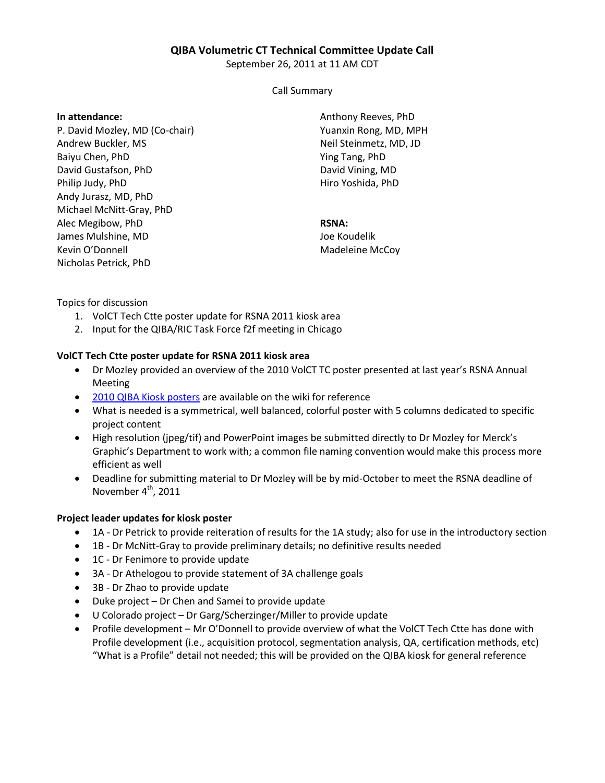## **QIBA Volumetric CT Technical Committee Update Call**

September 26, 2011 at 11 AM CDT

Call Summary

### **In attendance:**

P. David Mozley, MD (Co-chair) Andrew Buckler, MS Baiyu Chen, PhD David Gustafson, PhD Philip Judy, PhD Andy Jurasz, MD, PhD Michael McNitt-Gray, PhD Alec Megibow, PhD James Mulshine, MD Kevin O'Donnell Nicholas Petrick, PhD

Anthony Reeves, PhD Yuanxin Rong, MD, MPH Neil Steinmetz, MD, JD Ying Tang, PhD David Vining, MD Hiro Yoshida, PhD

# **RSNA:**

Joe Koudelik Madeleine McCoy

Topics for discussion

- 1. VolCT Tech Ctte poster update for RSNA 2011 kiosk area
- 2. Input for the QIBA/RIC Task Force f2f meeting in Chicago

# **VolCT Tech Ctte poster update for RSNA 2011 kiosk area**

- Dr Mozley provided an overview of the 2010 VolCT TC poster presented at last year's RSNA Annual Meeting
- [2010 QIBA Kiosk posters](http://qibawiki.rsna.org/index.php?title=QIBA_and_UPICT_posters_from_RSNA_2010_Annual_Meeting) are available on the wiki for reference
- What is needed is a symmetrical, well balanced, colorful poster with 5 columns dedicated to specific project content
- High resolution (jpeg/tif) and PowerPoint images be submitted directly to Dr Mozley for Merck's Graphic's Department to work with; a common file naming convention would make this process more efficient as well
- Deadline for submitting material to Dr Mozley will be by mid-October to meet the RSNA deadline of November 4<sup>th</sup>, 2011

### **Project leader updates for kiosk poster**

- 1A Dr Petrick to provide reiteration of results for the 1A study; also for use in the introductory section
- 1B Dr McNitt-Gray to provide preliminary details; no definitive results needed
- 1C Dr Fenimore to provide update
- 3A Dr Athelogou to provide statement of 3A challenge goals
- 3B Dr Zhao to provide update
- Duke project Dr Chen and Samei to provide update
- U Colorado project Dr Garg/Scherzinger/Miller to provide update
- Profile development Mr O'Donnell to provide overview of what the VolCT Tech Ctte has done with Profile development (i.e., acquisition protocol, segmentation analysis, QA, certification methods, etc) "What is a Profile" detail not needed; this will be provided on the QIBA kiosk for general reference